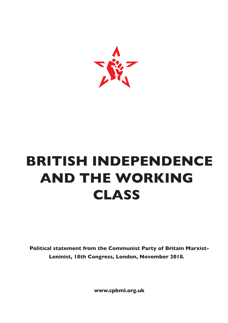

# **BRITISH INDEPENDENCE AND THE WORKING CLASS**

**Political statement from the Communist Party of Britain Marxist-Leninist, 18th Congress, London, November 2018.**

**www.cpbml.org.uk**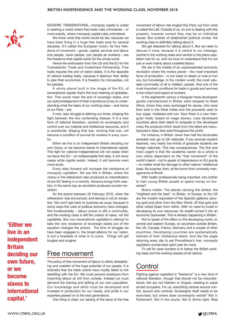#### **BRITISH INDEPENDENCE AND THE WORKING CLASS, NOVEMBER 2018**



MODERN, TRANSNATIONAL, monopoly capital is united in seeking a world where free trade rules unhindered – or more exactly, where monopoly capital rules unhindered.

We know what that world would be like, because we have been living in a huge free trade area for several decades. It's called the European Union. Its four freedoms of movement – goods, capital, services and labour (not people, never people, just people as workers) – are the freedoms that capital wants for the whole world.

Hence the enthusiasm from the US and the EU for the Transatlantic Trade and Investment Partnership. Free trade requires the end of nation states. It is the opposite of nations trading freely, because it destroys their ability to plan their economies. It is freedom for monopolies, not for peoples.

A whole planet built in the image of the EU, of transnational capital: that's the true meaning of globalisation. That would mean the end of sovereign states, and our acknowledgement of their importance is key to understanding what the tasks of our working class – and hence of our Party – are.

A new, epic struggle is defining our times, shaping the fight between the two contending classes. It is a new form of national liberation, centred on sovereignty and control over our material and intellectual resources, and it is worldwide. Waging that war, winning that war, will become a condition of survival for workers in every country.

Either we live in an independent Britain deciding our own future, or we become slaves to international capital. This fight for national independence will not cease when we leave the EU – an indispensable first step. It will never cease while capital exists. Indeed, it will become even more acute.

Every step forward will increase the resistance of monopoly capitalism. We see this in Britain, where the victory in the referendum also produced an intensification of pro-EU feeling in a minority. Advance brings forth reaction, in the same way as revolution produces counter-revolution.

So the period between 20 February 2016, when the referendum was announced, and leaving is not an exception. We won't get back to business as usual, because in some ways the rules of political economy have changed. Not fundamentally – labour power is still a commodity, and the working class is still the creator of value, not the capitalists. But now transnational capitalism's attempt to take the very existence of sovereign states out of the equation changes the picture. The kind of struggle we have been engaged in, the broad alliance for our nation, is but a foretaste of what is to come. Things will get tougher and rougher.

### Free movement

The policy of free movement of labour is utterly destabilising and wasteful of the huge potential of our people. It is shameful that the trade unions have mostly failed to link deskilling with the EU. We must prevent employers from importing labour at will from outside. Instead we must demand the training and skilling of our own population. Our knowledge and skills must be developed and invested in production for our needs, and pride in our expertise passed on to the next generations.

One thing is clear: our seizing of the issue of the free

movement of labour has singled this Party out from what is called the Left. Outside of us, no one is dealing with this properly, however correct they may be on individual issues. But outside of established political circles, the working class is definitely talking about it.

We get attacked for talking about it. But we need to discuss it more, because it is central to our message, central to the working class and central to the plans capitalism has for us. And we have to understand that it's not just or even mainly about unskilled labour.

We are in the middle of an unprecedented economic revolution where the motive power – the most important force of production – is not water or steam or coal or iron ore, but knowledge. In the modern world, the most valuable commodity of all is intellect, people. And one of the most important conditions for trade in goods and services is the import and export of workers.

In the eighteenth century a triangular trade developed: goods manufactured in Britain were shipped to West Africa, where they were exchanged for slaves, who were then sold in the West Indies and the proceeds used to buy sugar, molasses and rum. Now there is a new triangular trade, based on wage slavery. Less developed countries allow their talent to emigrate to the developed ones; the products which result from this talent are manufactured in Asia; then sold throughout the world.

For instance, in Britain, fewer than half the doctorates awarded now go to UK nationals. If you exclude student teachers, very nearly two-thirds of graduate students are foreign nationals. This has consequences. The first and most urgent is that the academic sector as a whole is now utterly dependent on the "free movement" of the world's talent – not to speak of dependence on EU grants – no matter what the damage to other nations' intellectual base. No surprise, then, at the horror from university managements at Brexit.

With health professionals being imported, why bother to train young British people or spend money on bursaries?

Brains matter. The planes carrying the skilled, the "brightest and the best", to Britain, to Europe, to the US are the modern equivalent of the Spanish galleons carrying gold and silver from the New World. All that gold and silver rotted Spain from within. With no need to invest in developing its own resources, its wealth turned it into an economic backwater. This is already happening in Britain.

Not to speak of the effect on the developing world, on central and eastern Europe, on anywhere outside Britain, the US, Canada, France, Germany and a couple of other countries. Developing countries are systematically drained of their intellectual talent. And like the eagle returning every day to eat Prometheus's liver, monopoly capitalism comes back each year for more.

To call for open borders is to betray the British working class and the working classes of all nations.

### Control

Fighting against capitalism's "freedoms" is a new kind of national liberation, though that should not be misunderstood. We are not Vietnam or Angola, needing to expel armed occupiers. For us, everything centres around control, around who controls. Sovereignty itself needs to be exercised, but where does sovereignty reside? Not in Parliament. Not in the courts. Not in divine right. Real

**'Either we live in an independent Britain deciding our own future, or we become slaves to international capital.'**

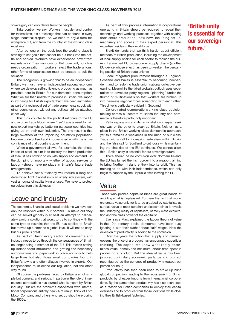sovereignty can only derive from the people.

Take control, we say. Workers must demand control for themselves. It's a message that can be found in every single industrial dispute. So we need to argue from the workplace out, and from the country in: the working class must rule.

After so long on the back foot the working class is starting to set goals that cannot be put back into the bottle and corked. Workers have experienced how "free" markets work. They want control. But to seize it, our class needs organisation. If workers reject the trade unions, other forms of organisation must be created to suit the situation.

The recognition is growing that to be an independent Britain, we must have an independent national economy where we develop self-sufficiency, producing as much as possible here in Britain for our domestic consumption. What we are then unable to produce in Britain, we import in exchange for British exports that have been earmarked as part of a reciprocal set of trade agreements struck with other countries but without any political strings attached either way.

This runs counter to the political rationale of the EU and in other trade blocs, where 'free' trade is used to gain new export markets by battering particular countries into giving up on their own industries. The end result is that large swathes of the importing country's population become underutilised and impoverished – with the active connivance of that country's government.

When a government allows, for example, the cheap import of steel, its aim is to destroy the home production of steel; it has nothing to do with supply and demand. So the dumping of imports – whether of goods, services or labour –should have no place in Britain's future trade arrangements.

To achieve self sufficiency will require a long and determined fight. Capitalism is an utterly sick system, with vast amounts of capital lying unused. We have to protect ourselves from this sickness.

## Leave and industry

The economic, financial and social problems we have can only be resolved within our borders. To make out they can be solved globally is at best an attempt to deliberately avoid a solution; at worst to try to continue with the same type of restraint that the EU has applied to Britain but moved up a notch to a global level. It will not be easy, but our prize is great.

As part of Brexit every sector of commerce and industry needs to go through the consequences of Britain no longer being a member of the EU. This means setting up independent structures and getting the necessary authorisations and paperwork in place not only to help large firms but also those small companies found in Britain's towns and often villages involved in exports. Our independence must define our regulation, not the other way round.

Of course the problems faced by Britain are not simple but complex and serious. In particular the role of international corporations has blurred what is meant by British industry. But are the problems associated with international corporations entirely new? Not really. Think of Ford Motor Company and others who set up shop here during the 1930s.

As part of this process international corporations operating in Britain should be required to reveal their technology and working practices together with sharing their entire production know how, including set up, machinery and access to their expert personnel. This expertise resides in their workforce.

Brexit demands that we think harder about efficient methods of British production, including the development of local supply chains for each sector to replace the current fragmented EU cross-border supply chains (another EU device whose effect has been to weaken the bargaining position of British trade unions).

Local integrated procurement throughout England, Scotland and Wales is essential to becoming independent, and to restoring trade union national collective bargaining. Meanwhile the failed globalist outlook uses separatism to advocate petty regional "planning" under the thumb of multinationals so that workers are broken up into harmless regional tribes squabbling with each other. This drive is particularly evident in Scotland.

Co-ordinated democratic working class decision making across all sectors of British industry and commerce is therefore profoundly important.

Petty separatism and its regionalist counterpart seek one way or the other to break up Britain. Neither has a place in the British working class democratic approach, yet this remains a weakness in the mind of our class. Trade unions call for increasing federalism within Britain, and the false call for Scotland to cut loose while maintaining the shackles of the EU continues. We cannot allow this – British unity is essential for our sovereign future.

There should be no confusion over Northern Ireland: the EU has turned the Irish border into a weapon, aiming to bring Northern Ireland entirely into its orbit. This has nothing to do with Irish independence, which can only begin to happen by the Republic itself leaving the EU.

### Value

Those who peddle capitalist ideas are great hands at avoiding what is unpleasant. To them the fact that workers create value only for it to be grabbed by capitalists as surplus value is most certainly unpleasant since it reveals the underlying reality of capitalism, namely class exploitation and the class power of the capitalist.

Ever since Marx explained the labour theory of value in the 19th century, social democrats have been busy ignoring it with their blather about "fair" wages. Now the diversion of productivity is adding to the confusion.

Over the years the fiction that supply and demand governs the price of a product has encouraged superficial thinking. The capitalists know what really determines value, namely the minimum labour time spent in producing a product. But the idea of value has been jumbled up in daily economic parlance and blurred, reconfigured as the concept of productivity (output per person per hour).

Productivity has then been used to stoke up blind global competition, leading to the replacement of British products by cheaper imports from international corporations. By the same token productivity has also been used as a reason for British companies to deploy their capital overseas and to produce from those locations while closing their British-based factories.

### **'British unity is essential for our sovereign future.'**